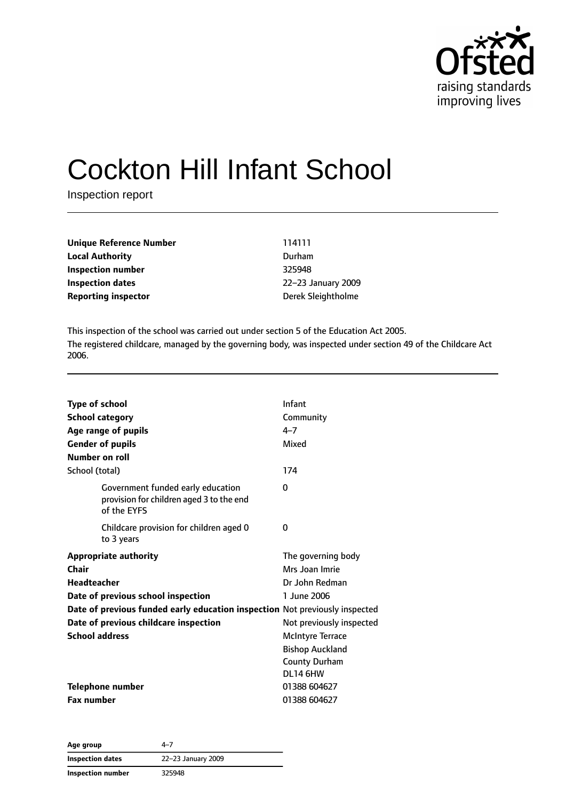

# Cockton Hill Infant School

Inspection report

| <b>Unique Reference Number</b> | 114111             |
|--------------------------------|--------------------|
| <b>Local Authority</b>         | Durham             |
| Inspection number              | 325948             |
| Inspection dates               | 22-23 January 2009 |
| <b>Reporting inspector</b>     | Derek Sleightholme |

This inspection of the school was carried out under section 5 of the Education Act 2005. The registered childcare, managed by the governing body, was inspected under section 49 of the Childcare Act 2006.

| <b>Type of school</b><br><b>School category</b><br>Age range of pupils<br><b>Gender of pupils</b><br>Number on roll | Infant<br>Community<br>$4 - 7$<br>Mixed                                               |
|---------------------------------------------------------------------------------------------------------------------|---------------------------------------------------------------------------------------|
| School (total)                                                                                                      | 174                                                                                   |
| Government funded early education<br>provision for children aged 3 to the end<br>of the EYFS                        | 0                                                                                     |
| Childcare provision for children aged 0<br>to 3 years                                                               | 0                                                                                     |
| <b>Appropriate authority</b><br>Chair<br>Headteacher<br>Date of previous school inspection                          | The governing body<br>Mrs Joan Imrie<br>Dr John Redman<br>1 June 2006                 |
| Date of previous funded early education inspection Not previously inspected                                         |                                                                                       |
| Date of previous childcare inspection                                                                               | Not previously inspected                                                              |
| <b>School address</b>                                                                                               | <b>McIntyre Terrace</b><br><b>Bishop Auckland</b><br><b>County Durham</b><br>DL14 6HW |
| <b>Telephone number</b>                                                                                             | 01388 604627                                                                          |
| <b>Fax number</b>                                                                                                   | 01388 604627                                                                          |

**Age group** 4–7 **Inspection dates** 22–23 January 2009 **Inspection number** 325948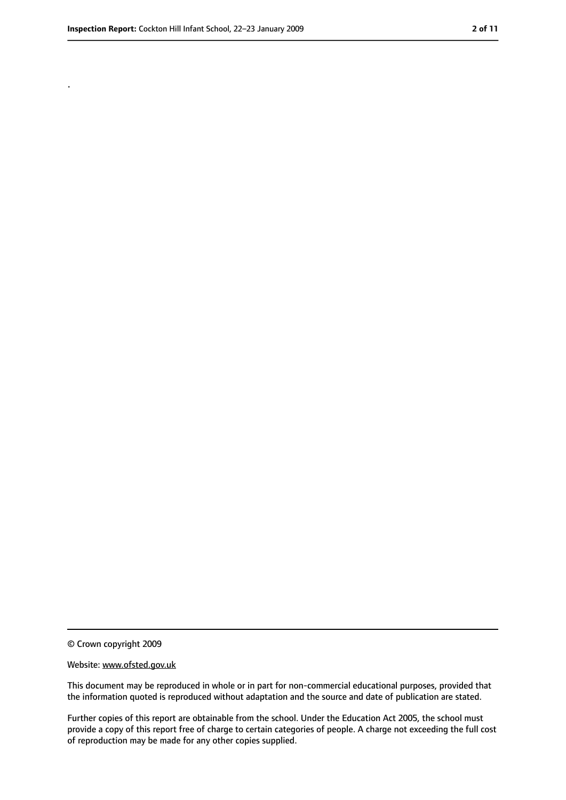.

<sup>©</sup> Crown copyright 2009

Website: www.ofsted.gov.uk

This document may be reproduced in whole or in part for non-commercial educational purposes, provided that the information quoted is reproduced without adaptation and the source and date of publication are stated.

Further copies of this report are obtainable from the school. Under the Education Act 2005, the school must provide a copy of this report free of charge to certain categories of people. A charge not exceeding the full cost of reproduction may be made for any other copies supplied.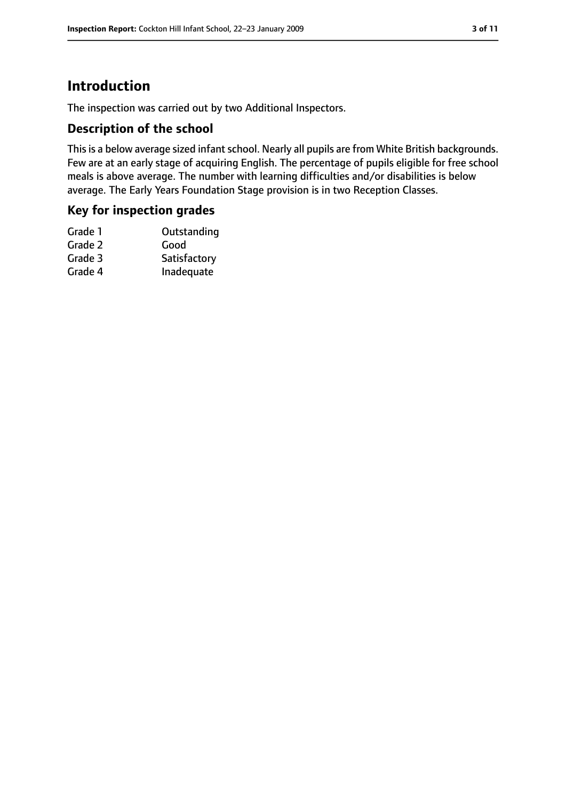# **Introduction**

The inspection was carried out by two Additional Inspectors.

#### **Description of the school**

This is a below average sized infant school. Nearly all pupils are from White British backgrounds. Few are at an early stage of acquiring English. The percentage of pupils eligible for free school meals is above average. The number with learning difficulties and/or disabilities is below average. The Early Years Foundation Stage provision is in two Reception Classes.

#### **Key for inspection grades**

| Grade 1 | Outstanding  |
|---------|--------------|
| Grade 2 | Good         |
| Grade 3 | Satisfactory |
| Grade 4 | Inadequate   |
|         |              |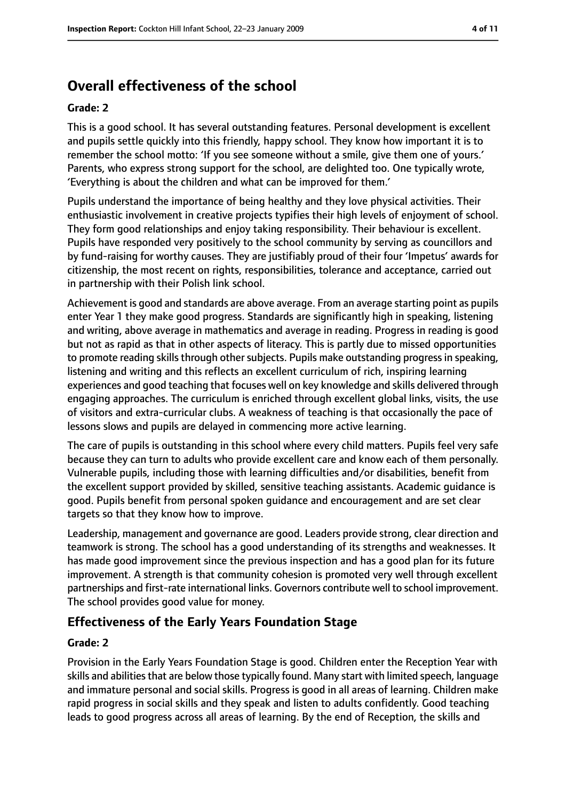# **Overall effectiveness of the school**

#### **Grade: 2**

This is a good school. It has several outstanding features. Personal development is excellent and pupils settle quickly into this friendly, happy school. They know how important it is to remember the school motto: 'If you see someone without a smile, give them one of yours.' Parents, who express strong support for the school, are delighted too. One typically wrote, 'Everything is about the children and what can be improved for them.'

Pupils understand the importance of being healthy and they love physical activities. Their enthusiastic involvement in creative projects typifies their high levels of enjoyment of school. They form good relationships and enjoy taking responsibility. Their behaviour is excellent. Pupils have responded very positively to the school community by serving as councillors and by fund-raising for worthy causes. They are justifiably proud of their four 'Impetus' awards for citizenship, the most recent on rights, responsibilities, tolerance and acceptance, carried out in partnership with their Polish link school.

Achievement is good and standards are above average. From an average starting point as pupils enter Year 1 they make good progress. Standards are significantly high in speaking, listening and writing, above average in mathematics and average in reading. Progress in reading is good but not as rapid as that in other aspects of literacy. This is partly due to missed opportunities to promote reading skills through other subjects. Pupils make outstanding progress in speaking, listening and writing and this reflects an excellent curriculum of rich, inspiring learning experiences and good teaching that focuses well on key knowledge and skills delivered through engaging approaches. The curriculum is enriched through excellent global links, visits, the use of visitors and extra-curricular clubs. A weakness of teaching is that occasionally the pace of lessons slows and pupils are delayed in commencing more active learning.

The care of pupils is outstanding in this school where every child matters. Pupils feel very safe because they can turn to adults who provide excellent care and know each of them personally. Vulnerable pupils, including those with learning difficulties and/or disabilities, benefit from the excellent support provided by skilled, sensitive teaching assistants. Academic guidance is good. Pupils benefit from personal spoken guidance and encouragement and are set clear targets so that they know how to improve.

Leadership, management and governance are good. Leaders provide strong, clear direction and teamwork is strong. The school has a good understanding of its strengths and weaknesses. It has made good improvement since the previous inspection and has a good plan for its future improvement. A strength is that community cohesion is promoted very well through excellent partnerships and first-rate international links. Governors contribute well to school improvement. The school provides good value for money.

### **Effectiveness of the Early Years Foundation Stage**

#### **Grade: 2**

Provision in the Early Years Foundation Stage is good. Children enter the Reception Year with skills and abilities that are below those typically found. Many start with limited speech, language and immature personal and social skills. Progress is good in all areas of learning. Children make rapid progress in social skills and they speak and listen to adults confidently. Good teaching leads to good progress across all areas of learning. By the end of Reception, the skills and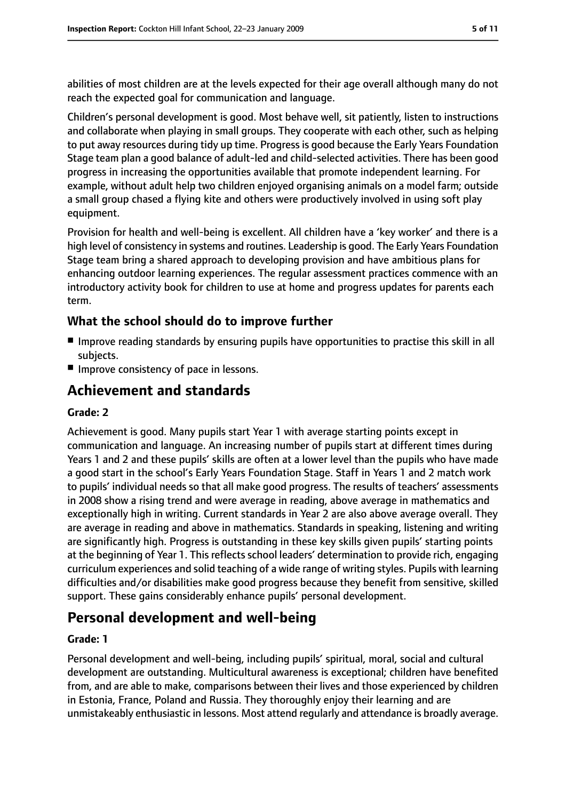abilities of most children are at the levels expected for their age overall although many do not reach the expected goal for communication and language.

Children's personal development is good. Most behave well, sit patiently, listen to instructions and collaborate when playing in small groups. They cooperate with each other, such as helping to put away resources during tidy up time. Progress is good because the Early Years Foundation Stage team plan a good balance of adult-led and child-selected activities. There has been good progress in increasing the opportunities available that promote independent learning. For example, without adult help two children enjoyed organising animals on a model farm; outside a small group chased a flying kite and others were productively involved in using soft play equipment.

Provision for health and well-being is excellent. All children have a 'key worker' and there is a high level of consistency in systems and routines. Leadership is good. The Early Years Foundation Stage team bring a shared approach to developing provision and have ambitious plans for enhancing outdoor learning experiences. The regular assessment practices commence with an introductory activity book for children to use at home and progress updates for parents each term.

### **What the school should do to improve further**

- Improve reading standards by ensuring pupils have opportunities to practise this skill in all subjects.
- Improve consistency of pace in lessons.

# **Achievement and standards**

#### **Grade: 2**

Achievement is good. Many pupils start Year 1 with average starting points except in communication and language. An increasing number of pupils start at different times during Years 1 and 2 and these pupils' skills are often at a lower level than the pupils who have made a good start in the school's Early Years Foundation Stage. Staff in Years 1 and 2 match work to pupils' individual needs so that all make good progress. The results of teachers' assessments in 2008 show a rising trend and were average in reading, above average in mathematics and exceptionally high in writing. Current standards in Year 2 are also above average overall. They are average in reading and above in mathematics. Standards in speaking, listening and writing are significantly high. Progress is outstanding in these key skills given pupils' starting points at the beginning of Year 1. This reflects school leaders' determination to provide rich, engaging curriculum experiences and solid teaching of a wide range of writing styles. Pupils with learning difficulties and/or disabilities make good progress because they benefit from sensitive, skilled support. These gains considerably enhance pupils' personal development.

# **Personal development and well-being**

#### **Grade: 1**

Personal development and well-being, including pupils' spiritual, moral, social and cultural development are outstanding. Multicultural awareness is exceptional; children have benefited from, and are able to make, comparisons between their lives and those experienced by children in Estonia, France, Poland and Russia. They thoroughly enjoy their learning and are unmistakeably enthusiastic in lessons. Most attend regularly and attendance is broadly average.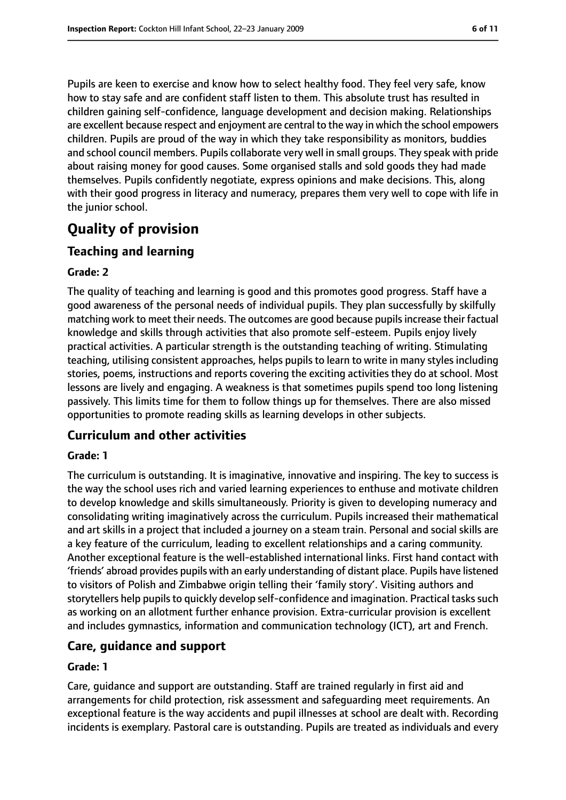Pupils are keen to exercise and know how to select healthy food. They feel very safe, know how to stay safe and are confident staff listen to them. This absolute trust has resulted in children gaining self-confidence, language development and decision making. Relationships are excellent because respect and enjoyment are central to the way in which the school empowers children. Pupils are proud of the way in which they take responsibility as monitors, buddies and school council members. Pupils collaborate very well in small groups. They speak with pride about raising money for good causes. Some organised stalls and sold goods they had made themselves. Pupils confidently negotiate, express opinions and make decisions. This, along with their good progress in literacy and numeracy, prepares them very well to cope with life in the junior school.

# **Quality of provision**

### **Teaching and learning**

#### **Grade: 2**

The quality of teaching and learning is good and this promotes good progress. Staff have a good awareness of the personal needs of individual pupils. They plan successfully by skilfully matching work to meet their needs. The outcomes are good because pupilsincrease their factual knowledge and skills through activities that also promote self-esteem. Pupils enjoy lively practical activities. A particular strength is the outstanding teaching of writing. Stimulating teaching, utilising consistent approaches, helps pupils to learn to write in many styles including stories, poems, instructions and reports covering the exciting activities they do at school. Most lessons are lively and engaging. A weakness is that sometimes pupils spend too long listening passively. This limits time for them to follow things up for themselves. There are also missed opportunities to promote reading skills as learning develops in other subjects.

### **Curriculum and other activities**

#### **Grade: 1**

The curriculum is outstanding. It is imaginative, innovative and inspiring. The key to success is the way the school uses rich and varied learning experiences to enthuse and motivate children to develop knowledge and skills simultaneously. Priority is given to developing numeracy and consolidating writing imaginatively across the curriculum. Pupils increased their mathematical and art skills in a project that included a journey on a steam train. Personal and social skills are a key feature of the curriculum, leading to excellent relationships and a caring community. Another exceptional feature is the well-established international links. First hand contact with 'friends' abroad provides pupils with an early understanding of distant place. Pupils have listened to visitors of Polish and Zimbabwe origin telling their 'family story'. Visiting authors and storytellers help pupils to quickly develop self-confidence and imagination. Practical tasks such as working on an allotment further enhance provision. Extra-curricular provision is excellent and includes gymnastics, information and communication technology (ICT), art and French.

#### **Care, guidance and support**

#### **Grade: 1**

Care, guidance and support are outstanding. Staff are trained regularly in first aid and arrangements for child protection, risk assessment and safeguarding meet requirements. An exceptional feature is the way accidents and pupil illnesses at school are dealt with. Recording incidents is exemplary. Pastoral care is outstanding. Pupils are treated as individuals and every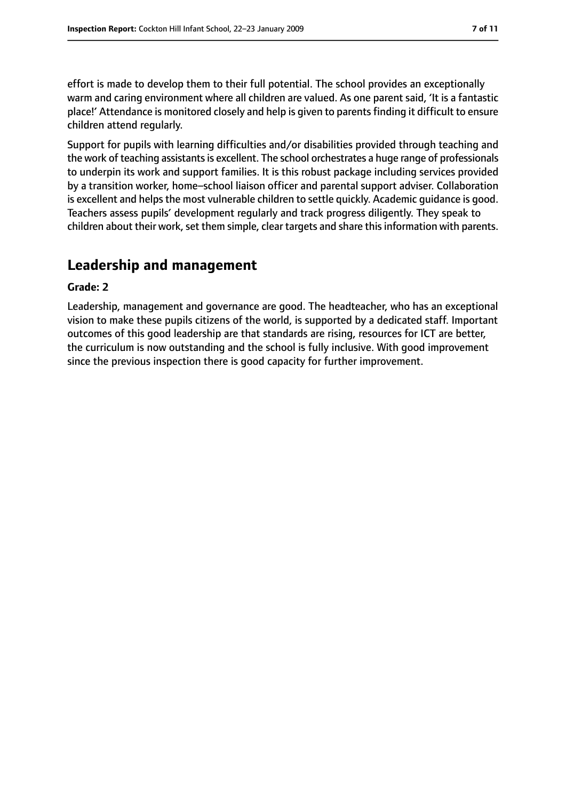effort is made to develop them to their full potential. The school provides an exceptionally warm and caring environment where all children are valued. As one parent said, 'It is a fantastic place!' Attendance is monitored closely and help is given to parentsfinding it difficult to ensure children attend regularly.

Support for pupils with learning difficulties and/or disabilities provided through teaching and the work of teaching assistants is excellent. The school orchestrates a huge range of professionals to underpin its work and support families. It is this robust package including services provided by a transition worker, home–school liaison officer and parental support adviser. Collaboration is excellent and helps the most vulnerable children to settle quickly. Academic guidance is good. Teachers assess pupils' development regularly and track progress diligently. They speak to children about their work, set them simple, clear targets and share this information with parents.

# **Leadership and management**

#### **Grade: 2**

Leadership, management and governance are good. The headteacher, who has an exceptional vision to make these pupils citizens of the world, is supported by a dedicated staff. Important outcomes of this good leadership are that standards are rising, resources for ICT are better, the curriculum is now outstanding and the school is fully inclusive. With good improvement since the previous inspection there is good capacity for further improvement.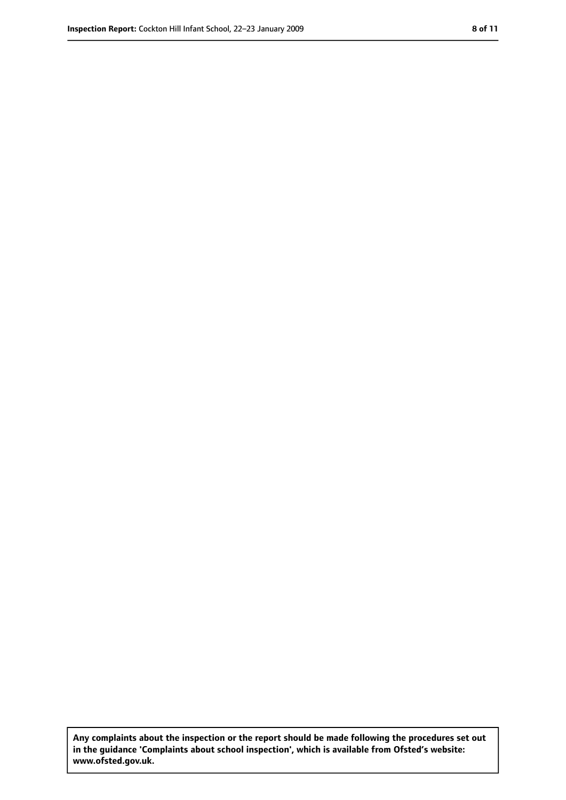**Any complaints about the inspection or the report should be made following the procedures set out in the guidance 'Complaints about school inspection', which is available from Ofsted's website: www.ofsted.gov.uk.**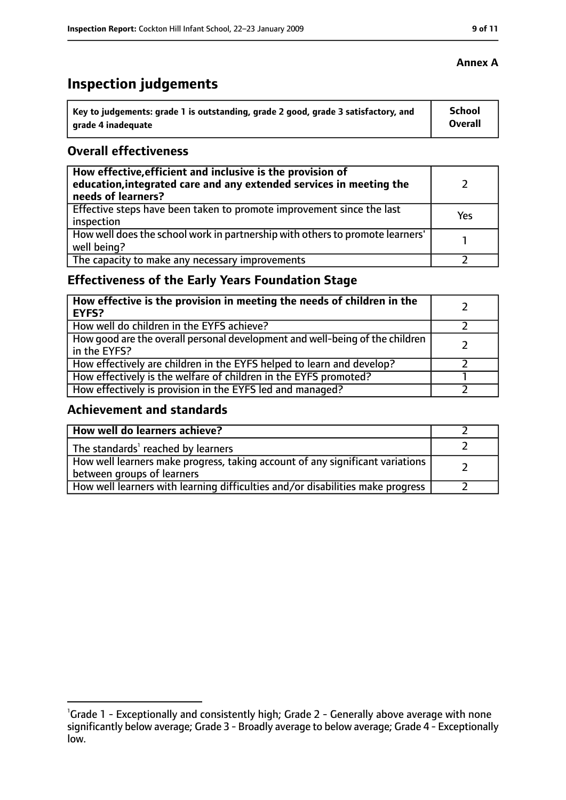# **Inspection judgements**

| Key to judgements: grade 1 is outstanding, grade 2 good, grade 3 satisfactory, and | <b>School</b>  |
|------------------------------------------------------------------------------------|----------------|
| arade 4 inadequate                                                                 | <b>Overall</b> |

#### **Overall effectiveness**

| How effective, efficient and inclusive is the provision of<br>education, integrated care and any extended services in meeting the<br>needs of learners? |     |
|---------------------------------------------------------------------------------------------------------------------------------------------------------|-----|
| Effective steps have been taken to promote improvement since the last<br>inspection                                                                     | Yes |
| How well does the school work in partnership with others to promote learners'<br>well being?                                                            |     |
| The capacity to make any necessary improvements                                                                                                         |     |

# **Effectiveness of the Early Years Foundation Stage**

| How effective is the provision in meeting the needs of children in the<br><b>EYFS?</b>       |  |
|----------------------------------------------------------------------------------------------|--|
| How well do children in the EYFS achieve?                                                    |  |
| How good are the overall personal development and well-being of the children<br>in the EYFS? |  |
| How effectively are children in the EYFS helped to learn and develop?                        |  |
| How effectively is the welfare of children in the EYFS promoted?                             |  |
| How effectively is provision in the EYFS led and managed?                                    |  |

### **Achievement and standards**

| How well do learners achieve?                                                                               |  |
|-------------------------------------------------------------------------------------------------------------|--|
| The standards <sup>1</sup> reached by learners                                                              |  |
| How well learners make progress, taking account of any significant variations<br>between groups of learners |  |
| How well learners with learning difficulties and/or disabilities make progress                              |  |

#### **Annex A**

<sup>&</sup>lt;sup>1</sup>Grade 1 - Exceptionally and consistently high; Grade 2 - Generally above average with none significantly below average; Grade 3 - Broadly average to below average; Grade 4 - Exceptionally low.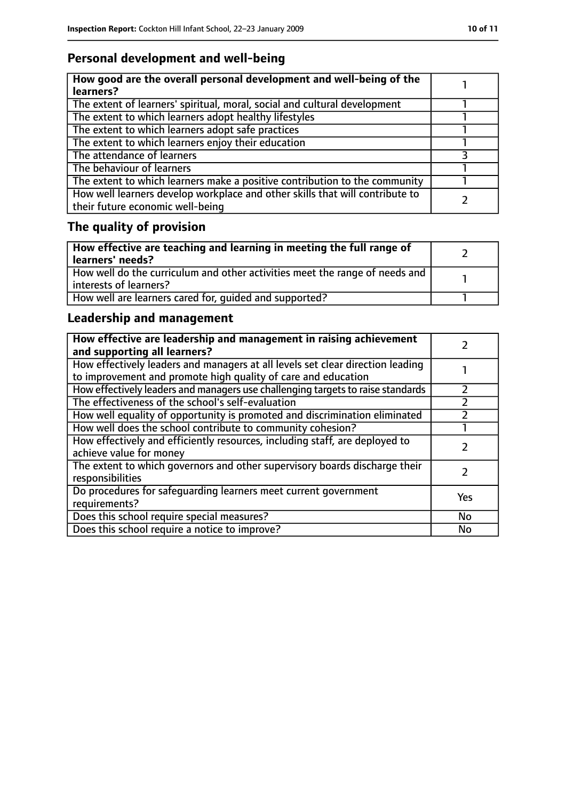# **Personal development and well-being**

| How good are the overall personal development and well-being of the<br>learners?                                 |  |
|------------------------------------------------------------------------------------------------------------------|--|
| The extent of learners' spiritual, moral, social and cultural development                                        |  |
| The extent to which learners adopt healthy lifestyles                                                            |  |
| The extent to which learners adopt safe practices                                                                |  |
| The extent to which learners enjoy their education                                                               |  |
| The attendance of learners                                                                                       |  |
| The behaviour of learners                                                                                        |  |
| The extent to which learners make a positive contribution to the community                                       |  |
| How well learners develop workplace and other skills that will contribute to<br>their future economic well-being |  |

# **The quality of provision**

| How effective are teaching and learning in meeting the full range of<br>learners' needs?              |  |
|-------------------------------------------------------------------------------------------------------|--|
| How well do the curriculum and other activities meet the range of needs and<br>interests of learners? |  |
| How well are learners cared for, quided and supported?                                                |  |

# **Leadership and management**

| How effective are leadership and management in raising achievement<br>and supporting all learners?                                              |     |
|-------------------------------------------------------------------------------------------------------------------------------------------------|-----|
| How effectively leaders and managers at all levels set clear direction leading<br>to improvement and promote high quality of care and education |     |
| How effectively leaders and managers use challenging targets to raise standards                                                                 |     |
| The effectiveness of the school's self-evaluation                                                                                               |     |
| How well equality of opportunity is promoted and discrimination eliminated                                                                      |     |
| How well does the school contribute to community cohesion?                                                                                      |     |
| How effectively and efficiently resources, including staff, are deployed to<br>achieve value for money                                          |     |
| The extent to which governors and other supervisory boards discharge their<br>responsibilities                                                  |     |
| Do procedures for safeguarding learners meet current government<br>requirements?                                                                | Yes |
| Does this school require special measures?                                                                                                      | No  |
| Does this school require a notice to improve?                                                                                                   | No  |